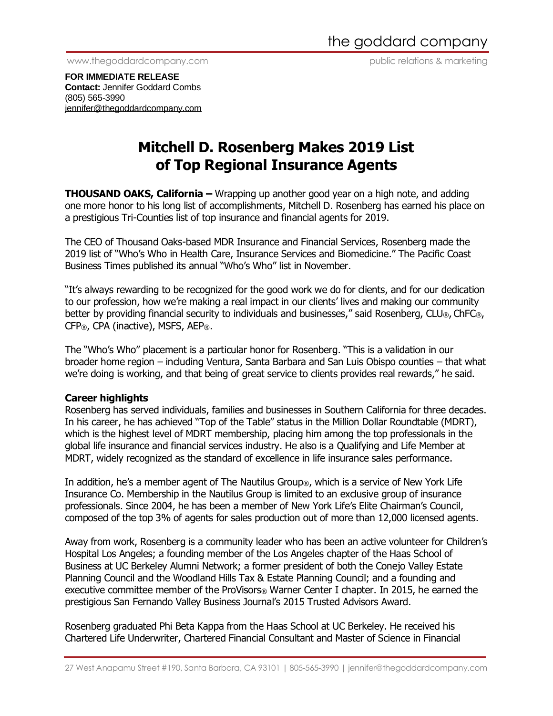www.thegoddardcompany.com public relations & marketing

**FOR IMMEDIATE RELEASE Contact:** Jennifer Goddard Combs (805) 565-3990 [jennifer@thegoddardcompany.com](mailto:jennifer@thegoddardcompany.com)

## **Mitchell D. Rosenberg Makes 2019 List of Top Regional Insurance Agents**

**THOUSAND OAKS, California** – Wrapping up another good year on a high note, and adding one more honor to his long list of accomplishments, Mitchell D. Rosenberg has earned his place on a prestigious Tri-Counties list of top insurance and financial agents for 2019.

The CEO of Thousand Oaks-based MDR Insurance and Financial Services, Rosenberg made the 2019 list of "Who's Who in Health Care, Insurance Services and Biomedicine." The Pacific Coast Business Times published its annual "Who's Who" list in November.

"It's always rewarding to be recognized for the good work we do for clients, and for our dedication to our profession, how we're making a real impact in our clients' lives and making our community better by providing financial security to individuals and businesses," said Rosenberg, CLU®, ChFC®, CFP®, CPA (inactive), MSFS, AEP®.

The "Who's Who" placement is a particular honor for Rosenberg. "This is a validation in our broader home region – including Ventura, Santa Barbara and San Luis Obispo counties – that what we're doing is working, and that being of great service to clients provides real rewards," he said.

## **Career highlights**

Rosenberg has served individuals, families and businesses in Southern California for three decades. In his career, he has achieved "Top of the Table" status in the Million Dollar Roundtable (MDRT), which is the highest level of MDRT membership, placing him among the top professionals in the global life insurance and financial services industry. He also is a Qualifying and Life Member at MDRT, widely recognized as the standard of excellence in life insurance sales performance.

In addition, he's a member agent of The Nautilus Group®, which is a service of New York Life Insurance Co. Membership in the Nautilus Group is limited to an exclusive group of insurance professionals. Since 2004, he has been a member of New York Life's Elite Chairman's Council, composed of the top 3% of agents for sales production out of more than 12,000 licensed agents.

Away from work, Rosenberg is a community leader who has been an active volunteer for Children's Hospital Los Angeles; a founding member of the Los Angeles chapter of the Haas School of Business at UC Berkeley Alumni Network; a former president of both the Conejo Valley Estate Planning Council and the Woodland Hills Tax & Estate Planning Council; and a founding and executive committee member of the ProVisors<sup>®</sup> Warner Center I chapter. In 2015, he earned the prestigious San Fernando Valley Business Journal's 2015 Trusted Advisors Award.

Rosenberg graduated Phi Beta Kappa from the Haas School at UC Berkeley. He received his Chartered Life Underwriter, Chartered Financial Consultant and Master of Science in Financial

<sup>27</sup> West Anapamu Street #190, Santa Barbara, CA 93101 | 805-565-3990 | jennifer@thegoddardcompany.com